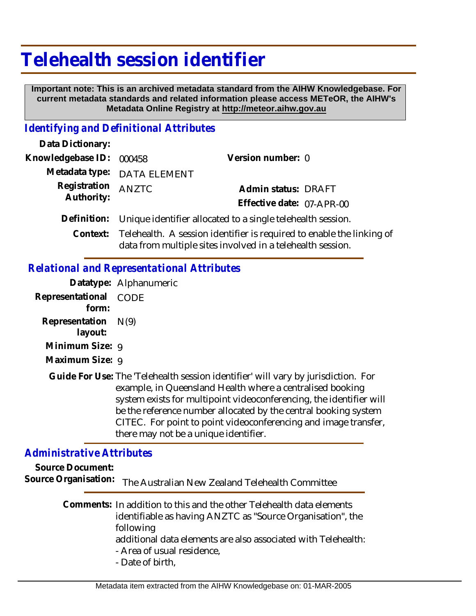# **Telehealth session identifier**

 **Important note: This is an archived metadata standard from the AIHW Knowledgebase. For current metadata standards and related information please access METeOR, the AIHW's Metadata Online Registry at http://meteor.aihw.gov.au**

#### *Identifying and Definitional Attributes*

| Data Dictionary:           |                                                                                                                                              |                           |
|----------------------------|----------------------------------------------------------------------------------------------------------------------------------------------|---------------------------|
| Knowledgebase ID:          | 000458                                                                                                                                       | Version number: 0         |
|                            | Metadata type: DATA ELEMENT                                                                                                                  |                           |
| Registration<br>Authority: | ANZTC                                                                                                                                        | Admin status: DRAFT       |
|                            |                                                                                                                                              | Effective date: 07-APR-00 |
|                            | Definition: Unique identifier allocated to a single telehealth session.                                                                      |                           |
|                            | Context: Telehealth. A session identifier is required to enable the linking of<br>data from multiple sites involved in a telehealth session. |                           |

### *Relational and Representational Attributes*

|                                  | Datatype: Alphanumeric                                                                                                                                                                                                                                                                                                                                                                               |
|----------------------------------|------------------------------------------------------------------------------------------------------------------------------------------------------------------------------------------------------------------------------------------------------------------------------------------------------------------------------------------------------------------------------------------------------|
| Representational CODE<br>form:   |                                                                                                                                                                                                                                                                                                                                                                                                      |
| Representation $N(9)$<br>layout: |                                                                                                                                                                                                                                                                                                                                                                                                      |
| Minimum Size: 9                  |                                                                                                                                                                                                                                                                                                                                                                                                      |
| Maximum Size: 9                  |                                                                                                                                                                                                                                                                                                                                                                                                      |
|                                  | Guide For Use: The 'Telehealth session identifier' will vary by jurisdiction. For<br>example, in Queensland Health where a centralised booking<br>system exists for multipoint videoconferencing, the identifier will<br>be the reference number allocated by the central booking system<br>CITEC. For point to point videoconferencing and image transfer,<br>there may not be a unique identifier. |

#### *Administrative Attributes*

**Source Document:** Source Organisation: The Australian New Zealand Telehealth Committee

> Comments: In addition to this and the other Telehealth data elements identifiable as having ANZTC as "Source Organisation", the following

additional data elements are also associated with Telehealth: - Area of usual residence,

- Date of birth,